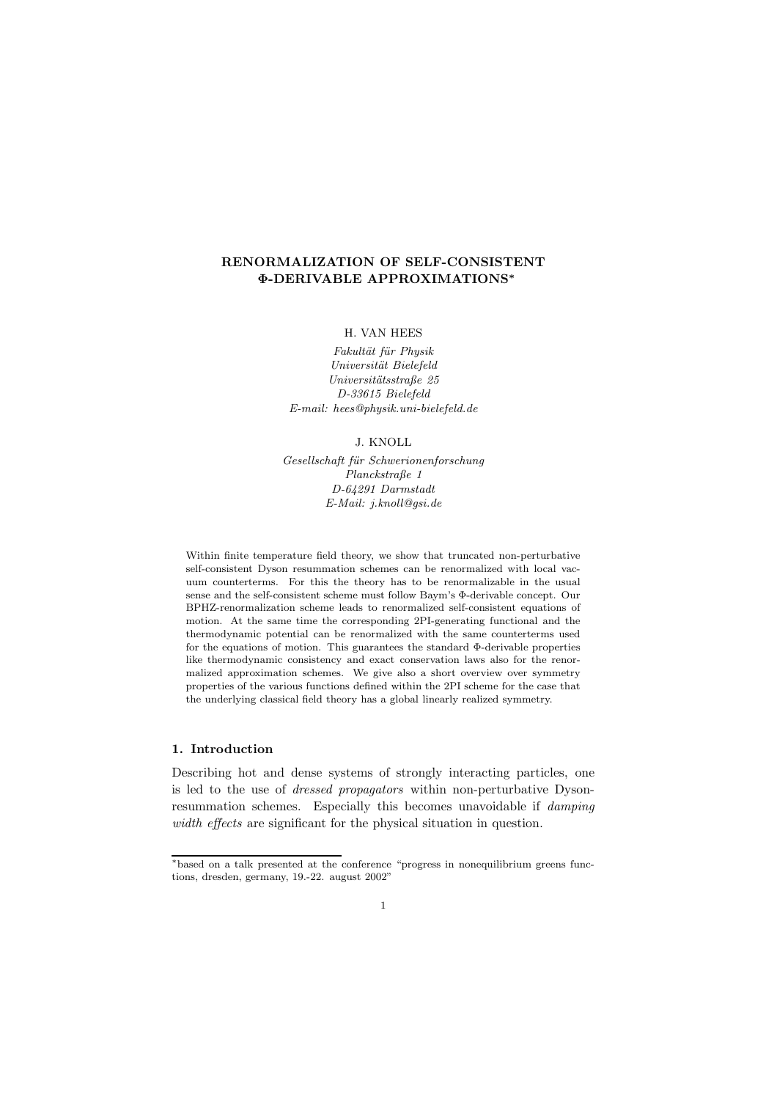## RENORMALIZATION OF SELF-CONSISTENT Φ-DERIVABLE APPROXIMATIONS<sup>∗</sup>

#### H. VAN HEES

Fakultät für Physik Universität Bielefeld Universitätsstraße 25 D-33615 Bielefeld E-mail: hees@physik.uni-bielefeld.de

J. KNOLL

Gesellschaft für Schwerionenforschung Planckstraße 1 D-64291 Darmstadt E-Mail: j.knoll@gsi.de

Within finite temperature field theory, we show that truncated non-perturbative self-consistent Dyson resummation schemes can be renormalized with local vacuum counterterms. For this the theory has to be renormalizable in the usual sense and the self-consistent scheme must follow Baym's Φ-derivable concept. Our BPHZ-renormalization scheme leads to renormalized self-consistent equations of motion. At the same time the corresponding 2PI-generating functional and the thermodynamic potential can be renormalized with the same counterterms used for the equations of motion. This guarantees the standard Φ-derivable properties like thermodynamic consistency and exact conservation laws also for the renormalized approximation schemes. We give also a short overview over symmetry properties of the various functions defined within the 2PI scheme for the case that the underlying classical field theory has a global linearly realized symmetry.

### 1. Introduction

Describing hot and dense systems of strongly interacting particles, one is led to the use of dressed propagators within non-perturbative Dysonresummation schemes. Especially this becomes unavoidable if damping width effects are significant for the physical situation in question.

<sup>∗</sup>based on a talk presented at the conference "progress in nonequilibrium greens functions, dresden, germany, 19.-22. august 2002"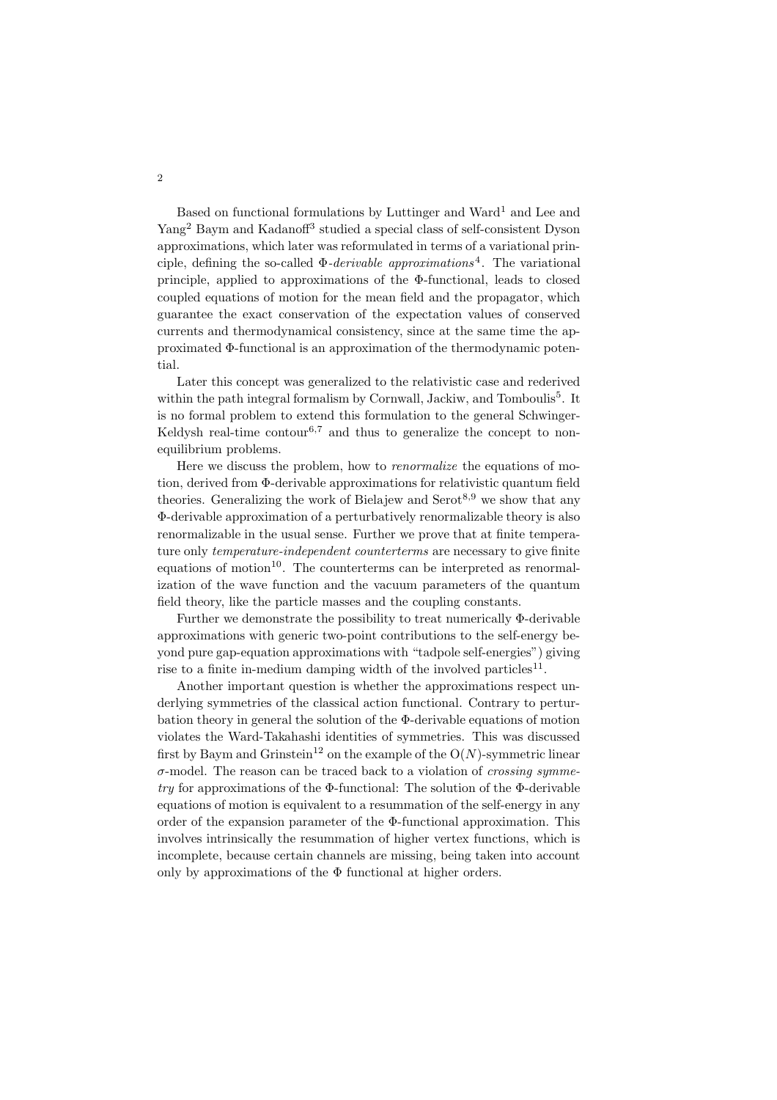Based on functional formulations by Luttinger and Ward<sup>1</sup> and Lee and Yang<sup>2</sup> Baym and Kadanoff<sup>3</sup> studied a special class of self-consistent Dyson approximations, which later was reformulated in terms of a variational principle, defining the so-called  $\Phi$ -*derivable approximations*<sup>4</sup>. The variational principle, applied to approximations of the Φ-functional, leads to closed coupled equations of motion for the mean field and the propagator, which guarantee the exact conservation of the expectation values of conserved currents and thermodynamical consistency, since at the same time the approximated Φ-functional is an approximation of the thermodynamic potential.

Later this concept was generalized to the relativistic case and rederived within the path integral formalism by Cornwall, Jackiw, and Tomboulis<sup>5</sup>. It is no formal problem to extend this formulation to the general Schwinger-Keldysh real-time contour<sup>6,7</sup> and thus to generalize the concept to nonequilibrium problems.

Here we discuss the problem, how to *renormalize* the equations of motion, derived from Φ-derivable approximations for relativistic quantum field theories. Generalizing the work of Bielajew and  $Serot<sup>8,9</sup>$  we show that any Φ-derivable approximation of a perturbatively renormalizable theory is also renormalizable in the usual sense. Further we prove that at finite temperature only *temperature-independent counterterms* are necessary to give finite equations of motion<sup>10</sup>. The counterterms can be interpreted as renormalization of the wave function and the vacuum parameters of the quantum field theory, like the particle masses and the coupling constants.

Further we demonstrate the possibility to treat numerically Φ-derivable approximations with generic two-point contributions to the self-energy beyond pure gap-equation approximations with "tadpole self-energies") giving rise to a finite in-medium damping width of the involved particles<sup>11</sup>.

Another important question is whether the approximations respect underlying symmetries of the classical action functional. Contrary to perturbation theory in general the solution of the Φ-derivable equations of motion violates the Ward-Takahashi identities of symmetries. This was discussed first by Baym and Grinstein<sup>12</sup> on the example of the  $O(N)$ -symmetric linear  $\sigma$ -model. The reason can be traced back to a violation of *crossing symme* $try$  for approximations of the  $\Phi$ -functional: The solution of the  $\Phi$ -derivable equations of motion is equivalent to a resummation of the self-energy in any order of the expansion parameter of the Φ-functional approximation. This involves intrinsically the resummation of higher vertex functions, which is incomplete, because certain channels are missing, being taken into account only by approximations of the  $\Phi$  functional at higher orders.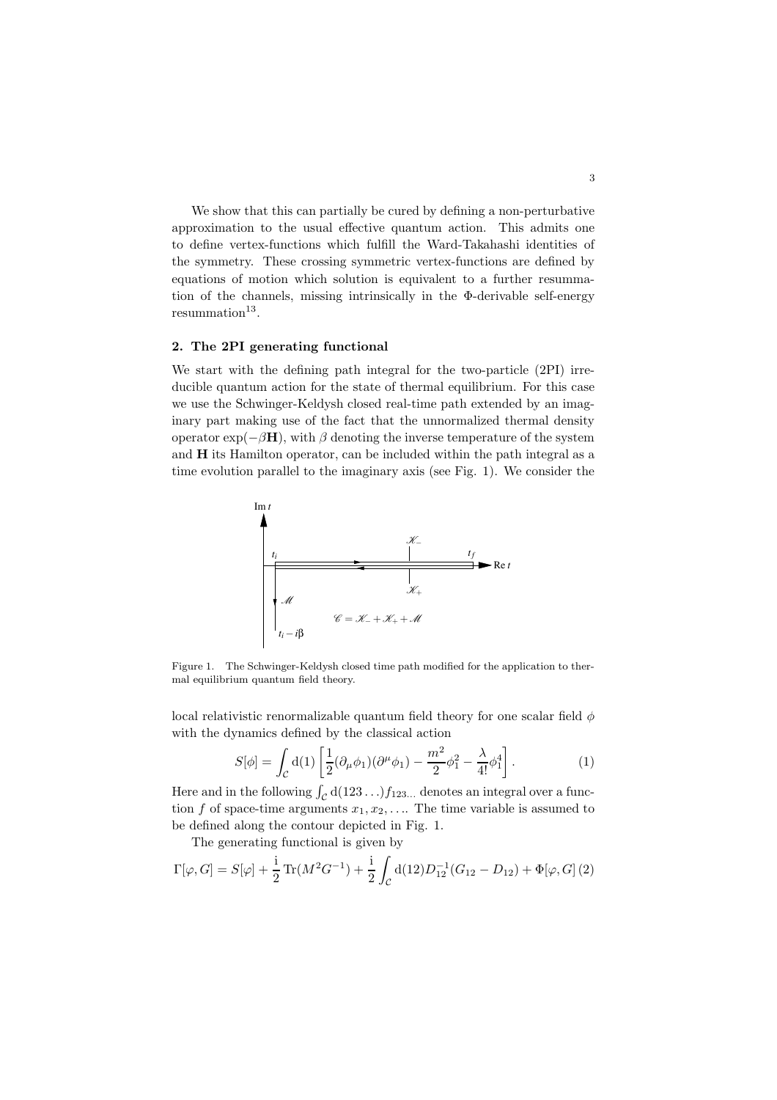We show that this can partially be cured by defining a non-perturbative approximation to the usual effective quantum action. This admits one to define vertex-functions which fulfill the Ward-Takahashi identities of the symmetry. These crossing symmetric vertex-functions are defined by equations of motion which solution is equivalent to a further resummation of the channels, missing intrinsically in the Φ-derivable self-energy  $resummation<sup>13</sup>$ .

### 2. The 2PI generating functional

We start with the defining path integral for the two-particle (2PI) irreducible quantum action for the state of thermal equilibrium. For this case we use the Schwinger-Keldysh closed real-time path extended by an imaginary part making use of the fact that the unnormalized thermal density operator  $\exp(-\beta \mathbf{H})$ , with  $\beta$  denoting the inverse temperature of the system and H its Hamilton operator, can be included within the path integral as a time evolution parallel to the imaginary axis (see Fig. 1). We consider the



Figure 1. The Schwinger-Keldysh closed time path modified for the application to thermal equilibrium quantum field theory.

local relativistic renormalizable quantum field theory for one scalar field  $\phi$ with the dynamics defined by the classical action

$$
S[\phi] = \int_{\mathcal{C}} d(1) \left[ \frac{1}{2} (\partial_{\mu} \phi_1)(\partial^{\mu} \phi_1) - \frac{m^2}{2} \phi_1^2 - \frac{\lambda}{4!} \phi_1^4 \right].
$$
 (1)

Here and in the following  $\int_{\mathcal{C}} d(123 \ldots) f_{123\ldots}$  denotes an integral over a function f of space-time arguments  $x_1, x_2, \ldots$  The time variable is assumed to be defined along the contour depicted in Fig. 1.

The generating functional is given by

$$
\Gamma[\varphi, G] = S[\varphi] + \frac{\mathrm{i}}{2} \operatorname{Tr}(M^2 G^{-1}) + \frac{\mathrm{i}}{2} \int_C \mathrm{d}(12) D_{12}^{-1} (G_{12} - D_{12}) + \Phi[\varphi, G] \,(2)
$$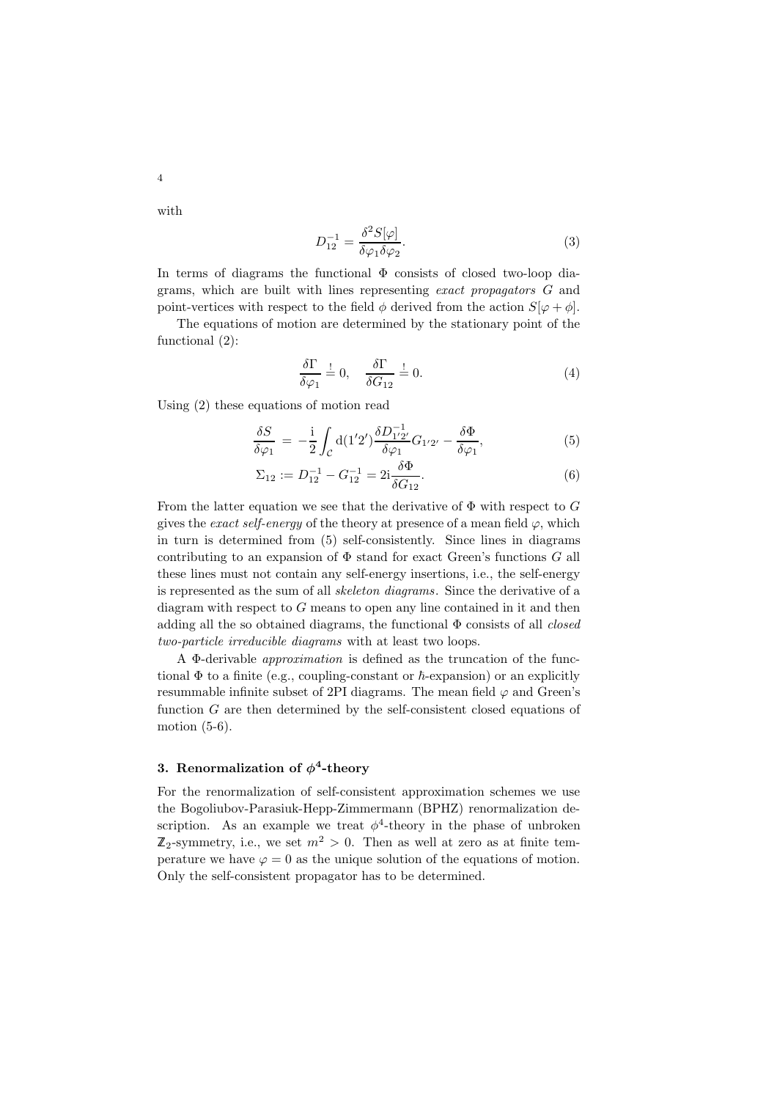with

4

$$
D_{12}^{-1} = \frac{\delta^2 S[\varphi]}{\delta \varphi_1 \delta \varphi_2}.\tag{3}
$$

In terms of diagrams the functional  $\Phi$  consists of closed two-loop diagrams, which are built with lines representing exact propagators G and point-vertices with respect to the field  $\phi$  derived from the action  $S[\varphi + \phi]$ .

The equations of motion are determined by the stationary point of the functional (2):

$$
\frac{\delta \Gamma}{\delta \varphi_1} \stackrel{!}{=} 0, \quad \frac{\delta \Gamma}{\delta G_{12}} \stackrel{!}{=} 0.
$$
\n(4)

Using (2) these equations of motion read

$$
\frac{\delta S}{\delta \varphi_1} = -\frac{i}{2} \int_C d(1'2') \frac{\delta D_{1'2'}^{-1}}{\delta \varphi_1} G_{1'2'} - \frac{\delta \Phi}{\delta \varphi_1},\tag{5}
$$

$$
\Sigma_{12} := D_{12}^{-1} - G_{12}^{-1} = 2i \frac{\delta \Phi}{\delta G_{12}}.
$$
\n(6)

From the latter equation we see that the derivative of  $\Phi$  with respect to G gives the *exact self-energy* of the theory at presence of a mean field  $\varphi$ , which in turn is determined from (5) self-consistently. Since lines in diagrams contributing to an expansion of  $\Phi$  stand for exact Green's functions G all these lines must not contain any self-energy insertions, i.e., the self-energy is represented as the sum of all skeleton diagrams. Since the derivative of a diagram with respect to  $G$  means to open any line contained in it and then adding all the so obtained diagrams, the functional  $\Phi$  consists of all *closed* two-particle irreducible diagrams with at least two loops.

A Φ-derivable approximation is defined as the truncation of the functional  $\Phi$  to a finite (e.g., coupling-constant or  $\hbar$ -expansion) or an explicitly resummable infinite subset of 2PI diagrams. The mean field  $\varphi$  and Green's function  $G$  are then determined by the self-consistent closed equations of motion  $(5-6)$ .

# 3. Renormalization of  $\phi^4$ -theory

For the renormalization of self-consistent approximation schemes we use the Bogoliubov-Parasiuk-Hepp-Zimmermann (BPHZ) renormalization description. As an example we treat  $\phi^4$ -theory in the phase of unbroken  $\mathbb{Z}_2$ -symmetry, i.e., we set  $m^2 > 0$ . Then as well at zero as at finite temperature we have  $\varphi = 0$  as the unique solution of the equations of motion. Only the self-consistent propagator has to be determined.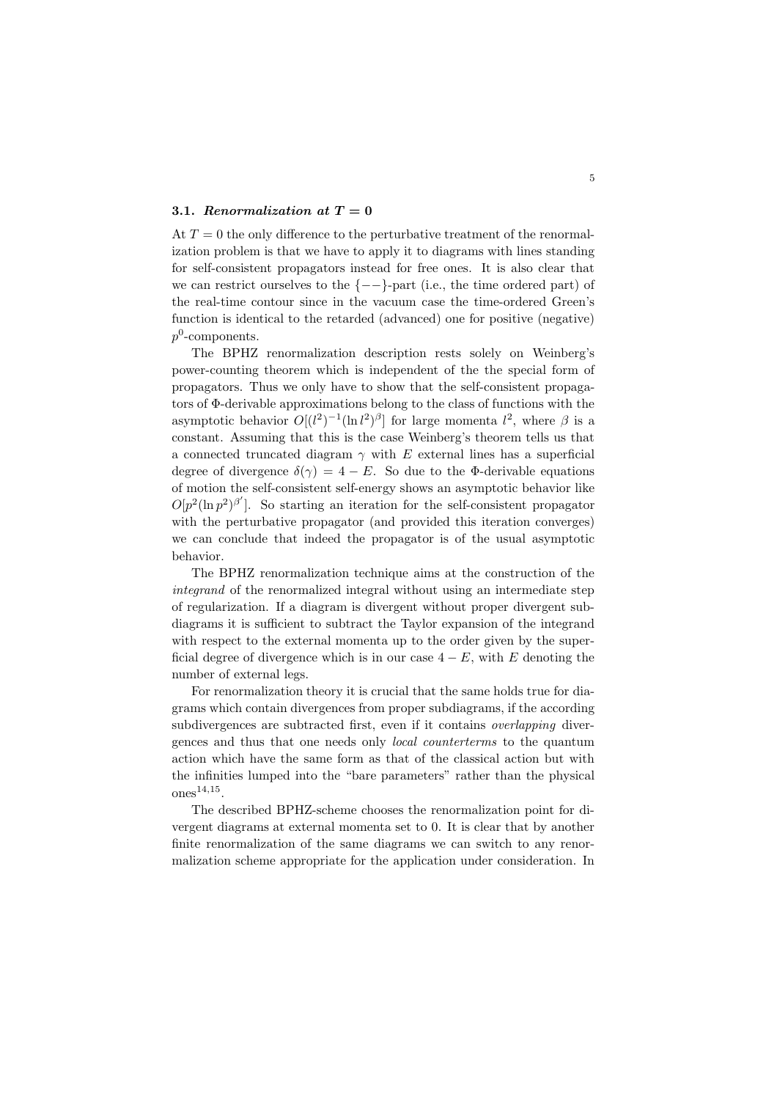### 3.1. Renormalization at  $T=0$

At  $T = 0$  the only difference to the perturbative treatment of the renormalization problem is that we have to apply it to diagrams with lines standing for self-consistent propagators instead for free ones. It is also clear that we can restrict ourselves to the  $\{--\}$ -part (i.e., the time ordered part) of the real-time contour since in the vacuum case the time-ordered Green's function is identical to the retarded (advanced) one for positive (negative)  $p^0$ -components.

The BPHZ renormalization description rests solely on Weinberg's power-counting theorem which is independent of the the special form of propagators. Thus we only have to show that the self-consistent propagators of Φ-derivable approximations belong to the class of functions with the asymptotic behavior  $O[(l^2)^{-1}(\ln l^2)^{\beta}]$  for large momenta  $l^2$ , where  $\beta$  is a constant. Assuming that this is the case Weinberg's theorem tells us that a connected truncated diagram  $\gamma$  with E external lines has a superficial degree of divergence  $\delta(\gamma) = 4 - E$ . So due to the Φ-derivable equations of motion the self-consistent self-energy shows an asymptotic behavior like  $O[p^2(\ln p^2)^{\beta'}]$ . So starting an iteration for the self-consistent propagator with the perturbative propagator (and provided this iteration converges) we can conclude that indeed the propagator is of the usual asymptotic behavior.

The BPHZ renormalization technique aims at the construction of the integrand of the renormalized integral without using an intermediate step of regularization. If a diagram is divergent without proper divergent subdiagrams it is sufficient to subtract the Taylor expansion of the integrand with respect to the external momenta up to the order given by the superficial degree of divergence which is in our case  $4 - E$ , with E denoting the number of external legs.

For renormalization theory it is crucial that the same holds true for diagrams which contain divergences from proper subdiagrams, if the according subdivergences are subtracted first, even if it contains *overlapping* divergences and thus that one needs only local counterterms to the quantum action which have the same form as that of the classical action but with the infinities lumped into the "bare parameters" rather than the physical ones $^{14,15}$ .

The described BPHZ-scheme chooses the renormalization point for divergent diagrams at external momenta set to 0. It is clear that by another finite renormalization of the same diagrams we can switch to any renormalization scheme appropriate for the application under consideration. In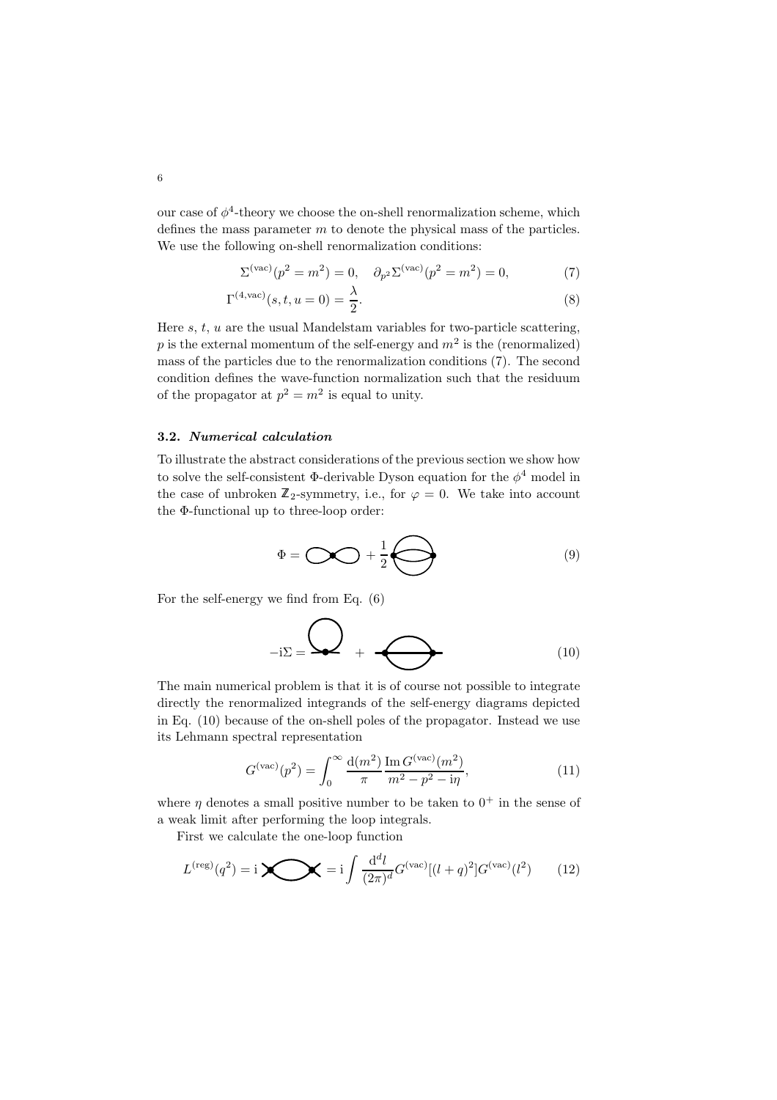our case of  $\phi^4$ -theory we choose the on-shell renormalization scheme, which defines the mass parameter  $m$  to denote the physical mass of the particles. We use the following on-shell renormalization conditions:

$$
\Sigma^{(\text{vac})}(p^2 = m^2) = 0, \quad \partial_{p^2} \Sigma^{(\text{vac})}(p^2 = m^2) = 0,
$$
 (7)

$$
\Gamma^{(4,\text{vac})}(s,t,u=0) = \frac{\lambda}{2}.
$$
 (8)

Here  $s, t, u$  are the usual Mandelstam variables for two-particle scattering, p is the external momentum of the self-energy and  $m^2$  is the (renormalized) mass of the particles due to the renormalization conditions (7). The second condition defines the wave-function normalization such that the residuum of the propagator at  $p^2 = m^2$  is equal to unity.

### 3.2. Numerical calculation

To illustrate the abstract considerations of the previous section we show how to solve the self-consistent  $\Phi$ -derivable Dyson equation for the  $\phi^4$  model in the case of unbroken  $\mathbb{Z}_2$ -symmetry, i.e., for  $\varphi = 0$ . We take into account the Φ-functional up to three-loop order:

$$
\Phi = \bigcirc \bigcirc \bigcirc + \frac{1}{2} \bigcirc \bigcirc \bigcirc \qquad (9)
$$

For the self-energy we find from Eq. (6)

$$
-i\Sigma = \bigotimes + \bigotimes \tag{10}
$$

The main numerical problem is that it is of course not possible to integrate directly the renormalized integrands of the self-energy diagrams depicted in Eq. (10) because of the on-shell poles of the propagator. Instead we use its Lehmann spectral representation

$$
G^{(\text{vac})}(p^2) = \int_0^\infty \frac{d(m^2)}{\pi} \frac{\text{Im}\, G^{(\text{vac})}(m^2)}{m^2 - p^2 - i\eta},\tag{11}
$$

where  $\eta$  denotes a small positive number to be taken to  $0^+$  in the sense of a weak limit after performing the loop integrals.

First we calculate the one-loop function

$$
L^{(\text{reg})}(q^2) = \mathbf{i} \sum_{l} = \mathbf{i} \int \frac{d^d l}{(2\pi)^d} G^{(\text{vac})}[(l+q)^2] G^{(\text{vac})}(l^2) \tag{12}
$$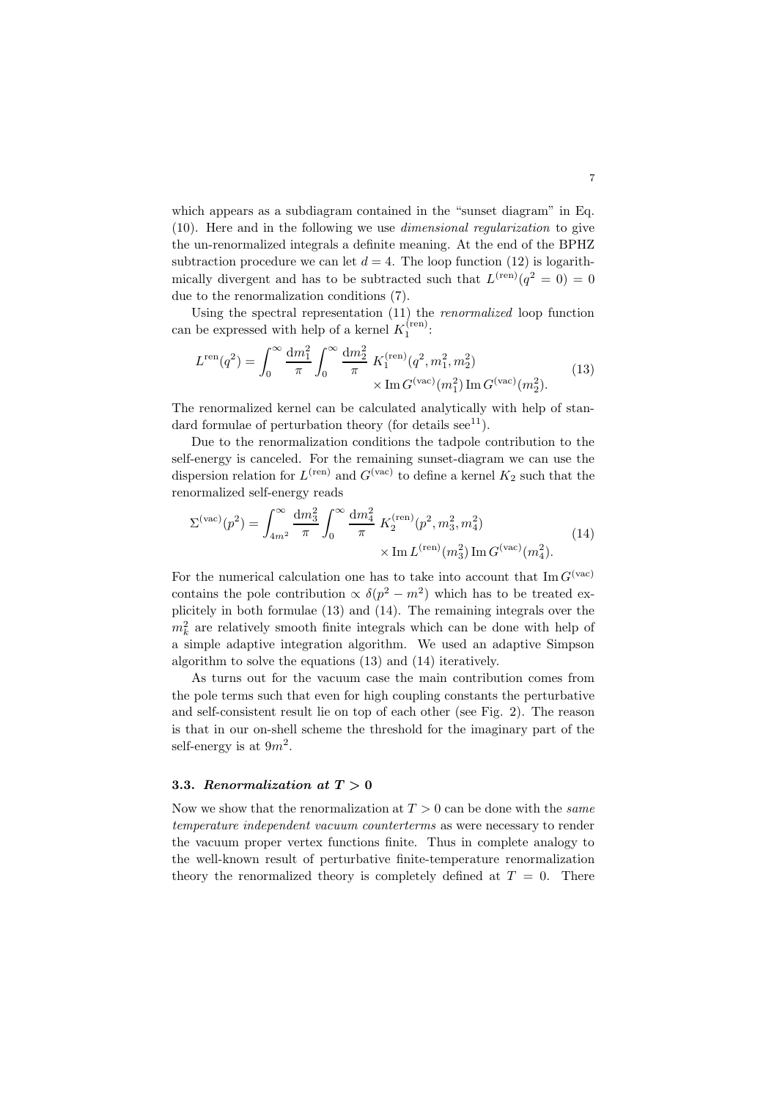which appears as a subdiagram contained in the "sunset diagram" in Eq. (10). Here and in the following we use dimensional regularization to give the un-renormalized integrals a definite meaning. At the end of the BPHZ subtraction procedure we can let  $d = 4$ . The loop function (12) is logarithmically divergent and has to be subtracted such that  $L^{(ren)}(q^2 = 0) = 0$ due to the renormalization conditions (7).

Using the spectral representation (11) the renormalized loop function can be expressed with help of a kernel  $K_1^{(ren)}$ :

$$
L^{\text{ren}}(q^2) = \int_0^\infty \frac{\mathrm{d}m_1^2}{\pi} \int_0^\infty \frac{\mathrm{d}m_2^2}{\pi} K_1^{\text{(ren)}}(q^2, m_1^2, m_2^2) \times \text{Im}\, G^{\text{(vac)}}(m_1^2) \text{Im}\, G^{\text{(vac)}}(m_2^2). \tag{13}
$$

The renormalized kernel can be calculated analytically with help of standard formulae of perturbation theory (for details  $\sec^{11}$ ).

Due to the renormalization conditions the tadpole contribution to the self-energy is canceled. For the remaining sunset-diagram we can use the dispersion relation for  $L^{(ren)}$  and  $G^{(vac)}$  to define a kernel  $K_2$  such that the renormalized self-energy reads

$$
\Sigma^{(\text{vac})}(p^2) = \int_{4m^2}^{\infty} \frac{dm_3^2}{\pi} \int_0^{\infty} \frac{dm_4^2}{\pi} K_2^{(\text{ren})}(p^2, m_3^2, m_4^2) \times \text{Im} L^{(\text{ren})}(m_3^2) \text{Im} G^{(\text{vac})}(m_4^2).
$$
 (14)

For the numerical calculation one has to take into account that  $\text{Im } G^{(\text{vac})}$ contains the pole contribution  $\propto \delta(p^2 - m^2)$  which has to be treated explicitely in both formulae (13) and (14). The remaining integrals over the  $m_k^2$  are relatively smooth finite integrals which can be done with help of a simple adaptive integration algorithm. We used an adaptive Simpson algorithm to solve the equations (13) and (14) iteratively.

As turns out for the vacuum case the main contribution comes from the pole terms such that even for high coupling constants the perturbative and self-consistent result lie on top of each other (see Fig. 2). The reason is that in our on-shell scheme the threshold for the imaginary part of the self-energy is at  $9m^2$ .

#### 3.3. Renormalization at  $T > 0$

Now we show that the renormalization at  $T > 0$  can be done with the *same* temperature independent vacuum counterterms as were necessary to render the vacuum proper vertex functions finite. Thus in complete analogy to the well-known result of perturbative finite-temperature renormalization theory the renormalized theory is completely defined at  $T = 0$ . There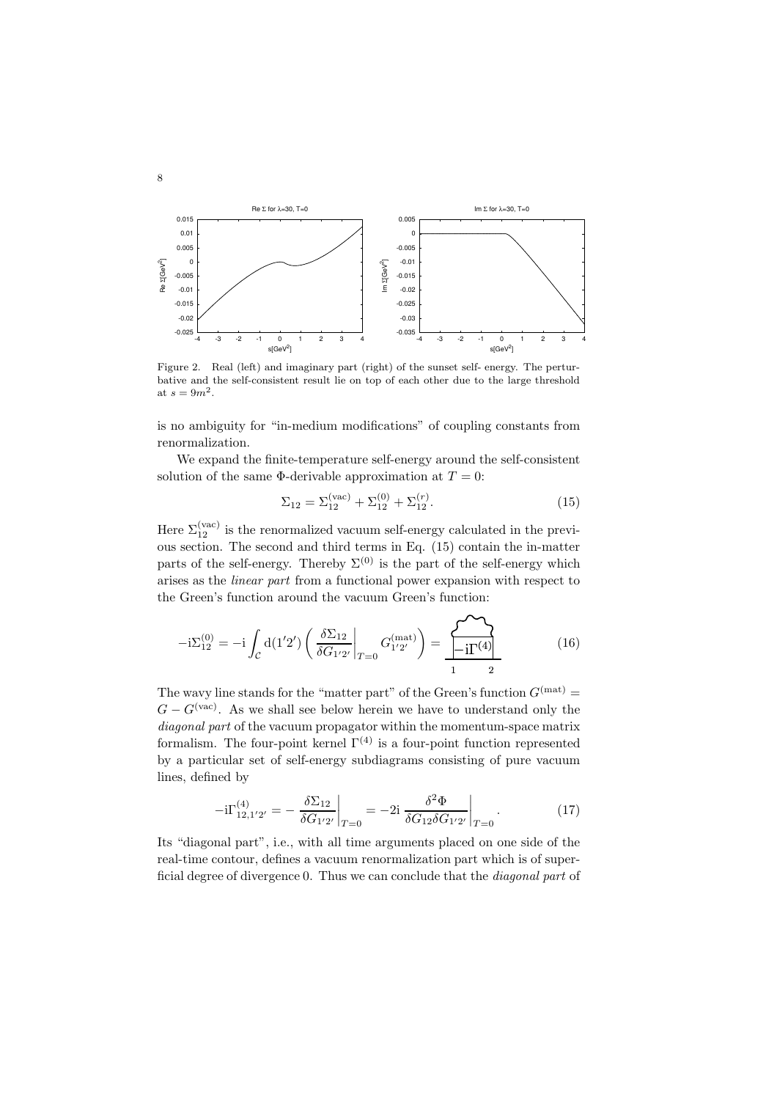

Figure 2. Real (left) and imaginary part (right) of the sunset self- energy. The perturbative and the self-consistent result lie on top of each other due to the large threshold at  $s = 9m^2$ .

is no ambiguity for "in-medium modifications" of coupling constants from renormalization.

We expand the finite-temperature self-energy around the self-consistent solution of the same  $\Phi$ -derivable approximation at  $T=0$ :

$$
\Sigma_{12} = \Sigma_{12}^{(\text{vac})} + \Sigma_{12}^{(0)} + \Sigma_{12}^{(r)}.
$$
\n(15)

Here  $\Sigma_{12}^{(\text{vac})}$  is the renormalized vacuum self-energy calculated in the previous section. The second and third terms in Eq. (15) contain the in-matter parts of the self-energy. Thereby  $\Sigma^{(0)}$  is the part of the self-energy which arises as the linear part from a functional power expansion with respect to the Green's function around the vacuum Green's function:

$$
-i\Sigma_{12}^{(0)} = -i \int_C d(1'2') \left( \frac{\delta \Sigma_{12}}{\delta G_{1'2'}} \bigg|_{T=0} G_{1'2'}^{(mat)} \right) = \frac{\sum_{i=1}^{N} \sum_{j=1}^{N} (16)}{1 - i \sum_{j=1}^{N} (16)}
$$

The wavy line stands for the "matter part" of the Green's function  $G<sup>(mat)</sup>$  =  $G - G<sup>(vac)</sup>$ . As we shall see below herein we have to understand only the diagonal part of the vacuum propagator within the momentum-space matrix formalism. The four-point kernel  $\Gamma^{(4)}$  is a four-point function represented by a particular set of self-energy subdiagrams consisting of pure vacuum lines, defined by

$$
-i\Gamma_{12,1'2'}^{(4)} = -\left. \frac{\delta \Sigma_{12}}{\delta G_{1'2'}} \right|_{T=0} = -2i \left. \frac{\delta^2 \Phi}{\delta G_{12} \delta G_{1'2'}} \right|_{T=0} . \tag{17}
$$

Its "diagonal part", i.e., with all time arguments placed on one side of the real-time contour, defines a vacuum renormalization part which is of superficial degree of divergence 0. Thus we can conclude that the diagonal part of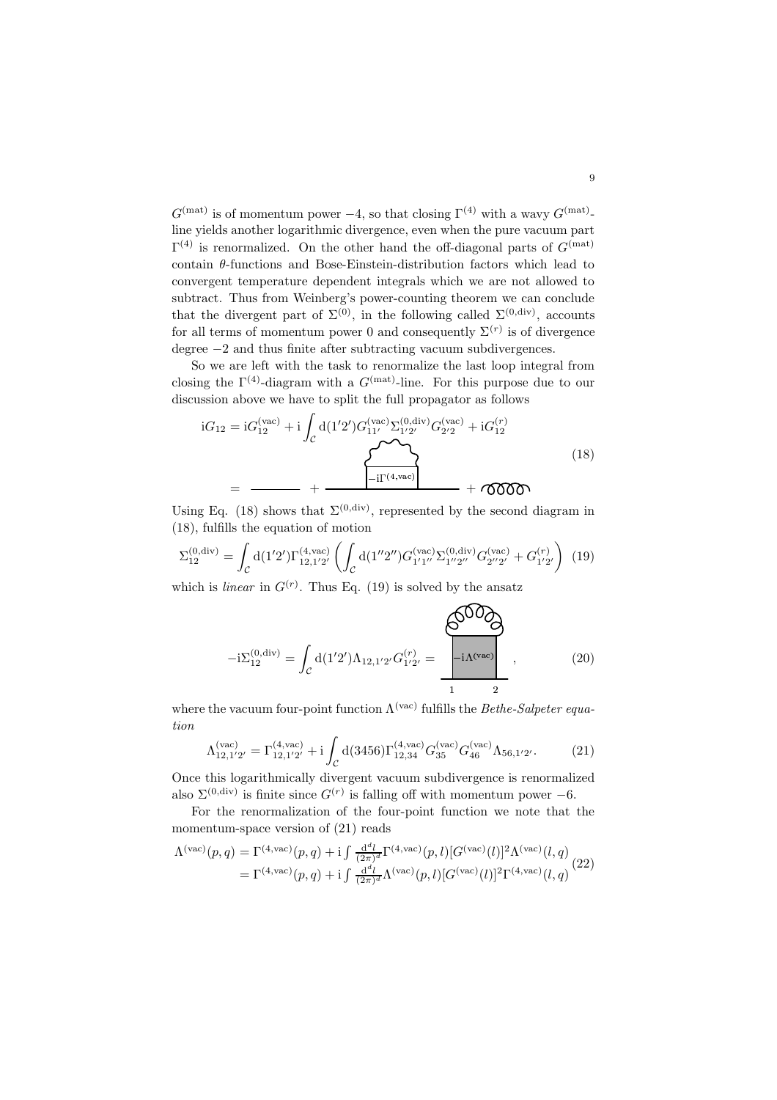$G^{(\text{mat})}$  is of momentum power  $-4$ , so that closing  $\Gamma^{(4)}$  with a wavy  $G^{(\text{mat})}$ line yields another logarithmic divergence, even when the pure vacuum part  $\Gamma^{(4)}$  is renormalized. On the other hand the off-diagonal parts of  $G<sup>(mat)</sup>$ contain  $\theta$ -functions and Bose-Einstein-distribution factors which lead to convergent temperature dependent integrals which we are not allowed to subtract. Thus from Weinberg's power-counting theorem we can conclude that the divergent part of  $\Sigma^{(0)}$ , in the following called  $\Sigma^{(0,\text{div})}$ , accounts for all terms of momentum power 0 and consequently  $\Sigma^{(r)}$  is of divergence degree −2 and thus finite after subtracting vacuum subdivergences.

So we are left with the task to renormalize the last loop integral from closing the  $\Gamma^{(4)}$ -diagram with a  $G^{(mat)}$ -line. For this purpose due to our discussion above we have to split the full propagator as follows

$$
iG_{12} = iG_{12}^{(vac)} + i \int_{\mathcal{C}} d(1'2')G_{11'}^{(vac)} \Sigma_{1'2'}^{(0,div)} G_{2'2}^{(vac)} + iG_{12}^{(r)}
$$
  
= 
$$
-\frac{1}{i\Gamma^{(4, vac)}} + \frac{1}{i\Gamma^{(4, vac)}} + \frac{1}{i\Gamma^{(4, vac)}} + \frac{1}{i\Gamma^{(4, vac)}}
$$
 (18)

Using Eq. (18) shows that  $\Sigma^{(0,\text{div})}$ , represented by the second diagram in (18), fulfills the equation of motion

$$
\Sigma_{12}^{(0,\text{div})} = \int_{\mathcal{C}} d(1'2') \Gamma_{12,1'2'}^{(4,\text{vac})} \left( \int_{\mathcal{C}} d(1''2'') G_{1'1''}^{(\text{vac})} \Sigma_{1''2''}^{(0,\text{div})} G_{2''2'}^{(\text{vac})} + G_{1'2'}^{(r)} \right) (19)
$$

which is *linear* in  $G^{(r)}$ . Thus Eq. (19) is solved by the ansatz

$$
-i\Sigma_{12}^{(0,\text{div})} = \int_{\mathcal{C}} d(1'2') \Lambda_{12,1'2'} G_{1'2'}^{(r)} = \frac{\left\{\begin{array}{c}\text{O}^{\text{O}} \text{O}^{\text{O}} \text{O}^{\text{O}} \text{O}^{\text{O}} \text{O}^{\text{O}} \text{O}^{\text{O}} \text{O}^{\text{O}} \text{O}^{\text{O}} \text{O}^{\text{O}} \text{O}^{\text{O}} \text{O}^{\text{O}} \text{O}^{\text{O}} \text{O}^{\text{O}} \text{O}^{\text{O}} \text{O}^{\text{O}} \text{O}^{\text{O}} \text{O}^{\text{O}} \text{O}^{\text{O}} \text{O}^{\text{O}} \text{O}^{\text{O}} \text{O}^{\text{O}} \text{O}^{\text{O}} \text{O}^{\text{O}} \text{O}^{\text{O}} \text{O}^{\text{O}} \text{O}^{\text{O}} \text{O}^{\text{O}} \text{O}^{\text{O}} \text{O}^{\text{O}} \text{O}^{\text{O}} \text{O}^{\text{O}} \text{O}^{\text{O}} \text{O}^{\text{O}} \text{O}^{\text{O}} \text{O}^{\text{O}} \text{O}^{\text{O}} \text{O}^{\text{O}} \text{O}^{\text{O}} \text{O}^{\text{O}} \text{O}^{\text{O}} \text{O}^{\text{O}} \text{O}^{\text{O}} \text{O}^{\text{O}} \text{O}^{\text{O}} \text{O}^{\text{O}} \text{O}^{\text{O}} \text{O}^{\text{O}} \text{O}^{\text{O}} \text{O}^{\text{O}} \text{O}^{\text{O}} \text{O}^{\text{O}} \text{O}^{\text{O}} \text{O}^{\text{O}} \text{O}^{\text{O}} \text{O}^{\text{O}} \text{O}^{\text{O}} \text{O}^{\text{O}} \text{O}^{\text{O}} \text{O}^{\text{O}} \text{O}^{\text{O}} \text{O}^{\text{O}} \text{O}^{\text{O}} \text{O}^{\text{O}} \
$$

where the vacuum four-point function  $\Lambda^{(\text{vac})}$  fulfills the *Bethe-Salpeter equa*tion

$$
\Lambda_{12,1'2'}^{(\text{vac})} = \Gamma_{12,1'2'}^{(4,\text{vac})} + i \int_{\mathcal{C}} d(3456) \Gamma_{12,34}^{(4,\text{vac})} G_{35}^{(\text{vac})} G_{46}^{(\text{vac})} \Lambda_{56,1'2'}.
$$
 (21)

Once this logarithmically divergent vacuum subdivergence is renormalized also  $\Sigma^{(0,\text{div})}$  is finite since  $G^{(r)}$  is falling off with momentum power  $-6$ .

For the renormalization of the four-point function we note that the momentum-space version of (21) reads

$$
\Lambda^{(\text{vac})}(p,q) = \Gamma^{(4,\text{vac})}(p,q) + i \int \frac{d^d l}{(2\pi)^d} \Gamma^{(4,\text{vac})}(p,l) [G^{(\text{vac})}(l)]^2 \Lambda^{(\text{vac})}(l,q) \n= \Gamma^{(4,\text{vac})}(p,q) + i \int \frac{d^d l}{(2\pi)^d} \Lambda^{(\text{vac})}(p,l) [G^{(\text{vac})}(l)]^2 \Gamma^{(4,\text{vac})}(l,q)
$$
\n(22)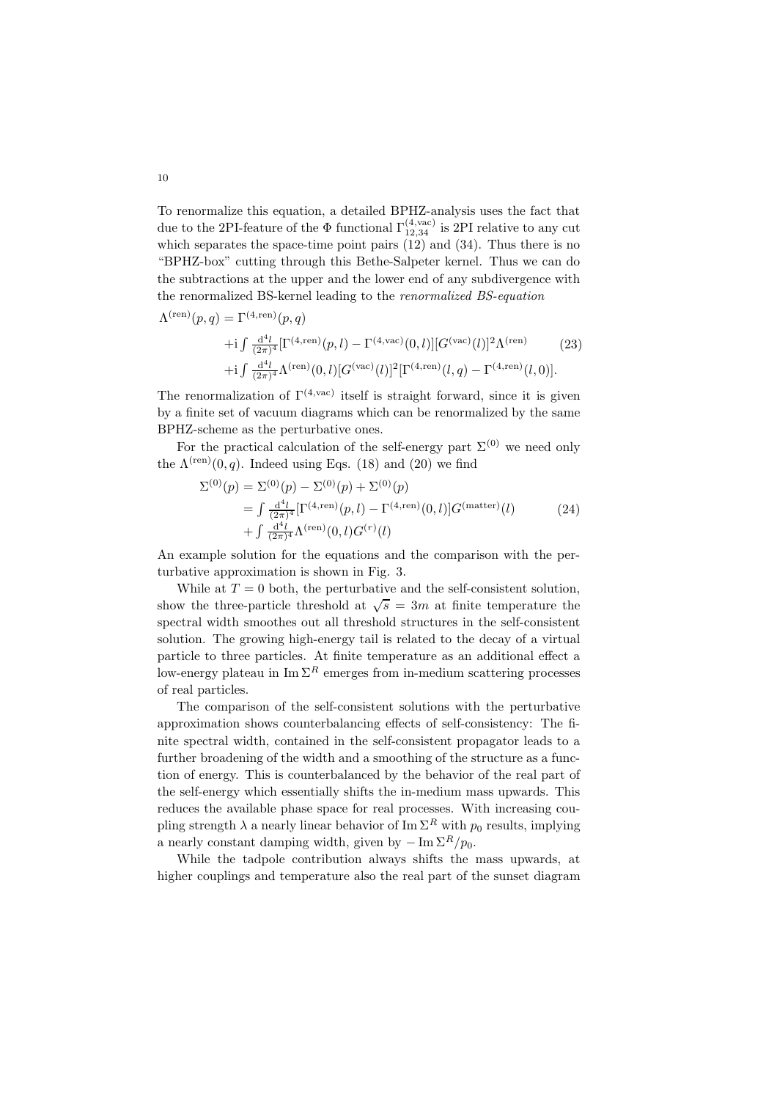To renormalize this equation, a detailed BPHZ-analysis uses the fact that due to the 2PI-feature of the  $\Phi$  functional  $\Gamma_{12,34}^{(4,\text{vac})}$  is 2PI relative to any cut which separates the space-time point pairs  $(12)$  and  $(34)$ . Thus there is no "BPHZ-box" cutting through this Bethe-Salpeter kernel. Thus we can do the subtractions at the upper and the lower end of any subdivergence with the renormalized BS-kernel leading to the renormalized BS-equation

$$
\Lambda^{(\text{ren})}(p,q) = \Gamma^{(4,\text{ren})}(p,q) \n+ i \int \frac{d^4l}{(2\pi)^4} [\Gamma^{(4,\text{ren})}(p,l) - \Gamma^{(4,\text{vac})}(0,l)][G^{(\text{vac})}(l)]^2 \Lambda^{(\text{ren})} \n+ i \int \frac{d^4l}{(2\pi)^4} \Lambda^{(\text{ren})}(0,l)[G^{(\text{vac})}(l)]^2 [\Gamma^{(4,\text{ren})}(l,q) - \Gamma^{(4,\text{ren})}(l,0)].
$$
\n(23)

The renormalization of  $\Gamma^{(4,\text{vac})}$  itself is straight forward, since it is given by a finite set of vacuum diagrams which can be renormalized by the same BPHZ-scheme as the perturbative ones.

For the practical calculation of the self-energy part  $\Sigma^{(0)}$  we need only the  $\Lambda^{(ren)}(0, q)$ . Indeed using Eqs. (18) and (20) we find

$$
\Sigma^{(0)}(p) = \Sigma^{(0)}(p) - \Sigma^{(0)}(p) + \Sigma^{(0)}(p)
$$
  
= 
$$
\int \frac{d^4l}{(2\pi)^4} [\Gamma^{(4,\text{ren})}(p,l) - \Gamma^{(4,\text{ren})}(0,l)] G^{(\text{matter})}(l)
$$
  
+ 
$$
\int \frac{d^4l}{(2\pi)^4} \Lambda^{(\text{ren})}(0,l) G^{(r)}(l)
$$
 (24)

An example solution for the equations and the comparison with the perturbative approximation is shown in Fig. 3.

While at  $T = 0$  both, the perturbative and the self-consistent solution, show the three-particle threshold at  $\sqrt{s} = 3m$  at finite temperature the spectral width smoothes out all threshold structures in the self-consistent solution. The growing high-energy tail is related to the decay of a virtual particle to three particles. At finite temperature as an additional effect a low-energy plateau in  $\text{Im }\Sigma^R$  emerges from in-medium scattering processes of real particles.

The comparison of the self-consistent solutions with the perturbative approximation shows counterbalancing effects of self-consistency: The finite spectral width, contained in the self-consistent propagator leads to a further broadening of the width and a smoothing of the structure as a function of energy. This is counterbalanced by the behavior of the real part of the self-energy which essentially shifts the in-medium mass upwards. This reduces the available phase space for real processes. With increasing coupling strength  $\lambda$  a nearly linear behavior of Im  $\Sigma^R$  with  $p_0$  results, implying a nearly constant damping width, given by  $-\text{Im }\Sigma^R/p_0$ .

While the tadpole contribution always shifts the mass upwards, at higher couplings and temperature also the real part of the sunset diagram

 $\lambda$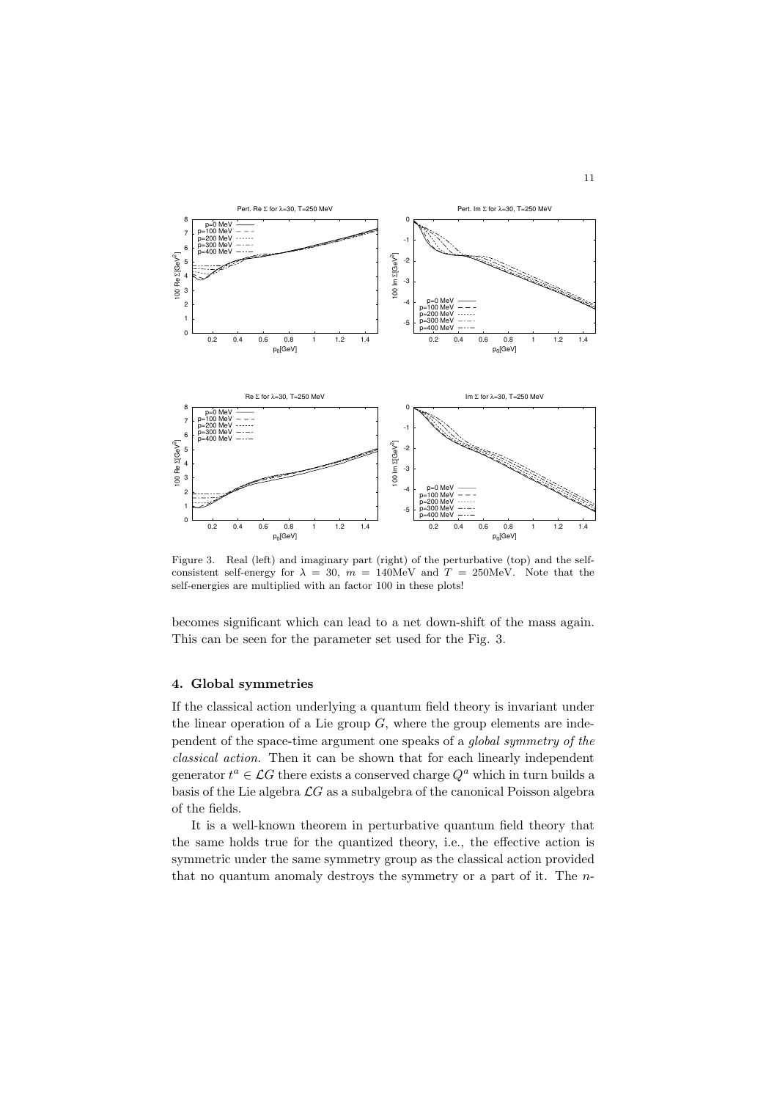

Figure 3. Real (left) and imaginary part (right) of the perturbative (top) and the selfconsistent self-energy for  $\lambda = 30$ ,  $m = 140$ MeV and  $T = 250$ MeV. Note that the self-energies are multiplied with an factor 100 in these plots!

becomes significant which can lead to a net down-shift of the mass again. This can be seen for the parameter set used for the Fig. 3.

### 4. Global symmetries

If the classical action underlying a quantum field theory is invariant under the linear operation of a Lie group  $G$ , where the group elements are independent of the space-time argument one speaks of a global symmetry of the classical action. Then it can be shown that for each linearly independent generator  $t^a \in \mathcal{L}G$  there exists a conserved charge  $Q^a$  which in turn builds a basis of the Lie algebra  $\mathcal{L}G$  as a subalgebra of the canonical Poisson algebra of the fields.

It is a well-known theorem in perturbative quantum field theory that the same holds true for the quantized theory, i.e., the effective action is symmetric under the same symmetry group as the classical action provided that no quantum anomaly destroys the symmetry or a part of it. The n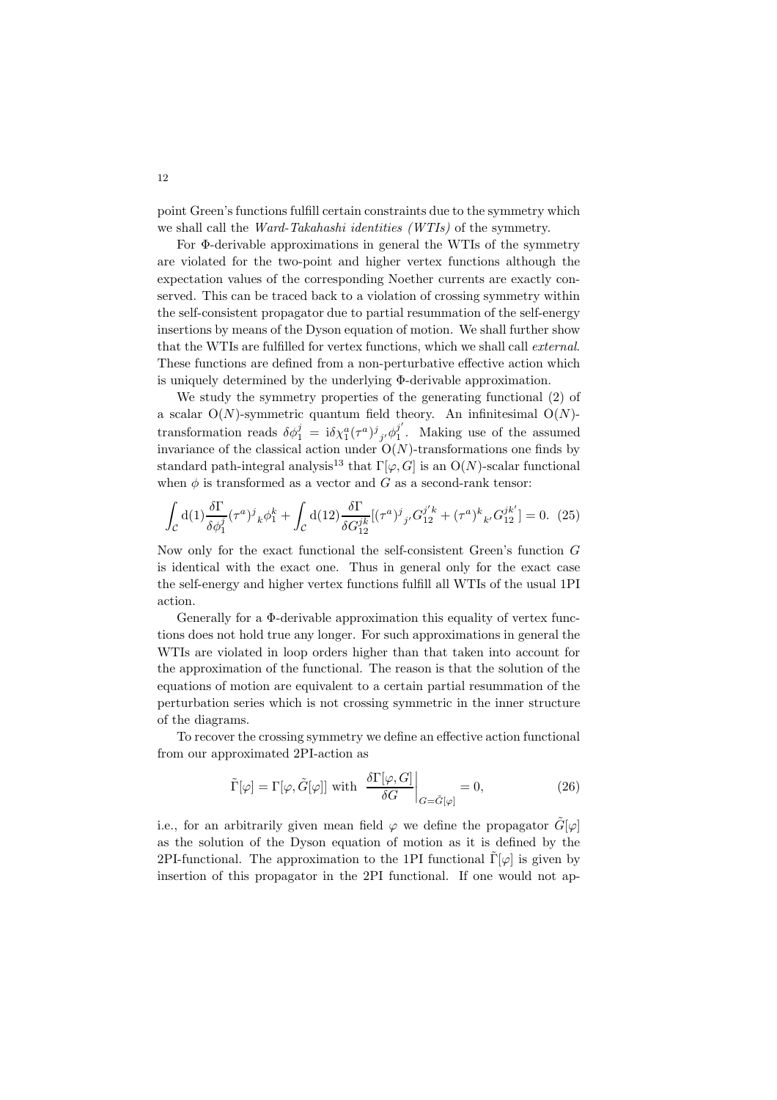point Green's functions fulfill certain constraints due to the symmetry which we shall call the Ward-Takahashi identities (WTIs) of the symmetry.

For Φ-derivable approximations in general the WTIs of the symmetry are violated for the two-point and higher vertex functions although the expectation values of the corresponding Noether currents are exactly conserved. This can be traced back to a violation of crossing symmetry within the self-consistent propagator due to partial resummation of the self-energy insertions by means of the Dyson equation of motion. We shall further show that the WTIs are fulfilled for vertex functions, which we shall call external. These functions are defined from a non-perturbative effective action which is uniquely determined by the underlying Φ-derivable approximation.

We study the symmetry properties of the generating functional (2) of a scalar  $O(N)$ -symmetric quantum field theory. An infinitesimal  $O(N)$ transformation reads  $\delta \phi_1^j = i \delta \chi_1^a (\tau^a)^j{}_{j'} \phi_1^{j'}$  $\frac{1}{1}$ . Making use of the assumed invariance of the classical action under  $O(N)$ -transformations one finds by standard path-integral analysis<sup>13</sup> that  $\Gamma[\varphi, G]$  is an  $O(N)$ -scalar functional when  $\phi$  is transformed as a vector and G as a second-rank tensor:

$$
\int_{\mathcal{C}} d(1) \frac{\delta \Gamma}{\delta \phi_1^j} (\tau^a)^j{}_k \phi_1^k + \int_{\mathcal{C}} d(12) \frac{\delta \Gamma}{\delta G_{12}^{jk}} [(\tau^a)^j{}_{j'} G_{12}^{j'k} + (\tau^a)^k{}_{k'} G_{12}^{jk'}] = 0. \tag{25}
$$

Now only for the exact functional the self-consistent Green's function G is identical with the exact one. Thus in general only for the exact case the self-energy and higher vertex functions fulfill all WTIs of the usual 1PI action.

Generally for a Φ-derivable approximation this equality of vertex functions does not hold true any longer. For such approximations in general the WTIs are violated in loop orders higher than that taken into account for the approximation of the functional. The reason is that the solution of the equations of motion are equivalent to a certain partial resummation of the perturbation series which is not crossing symmetric in the inner structure of the diagrams.

To recover the crossing symmetry we define an effective action functional from our approximated 2PI-action as

$$
\tilde{\Gamma}[\varphi] = \Gamma[\varphi, \tilde{G}[\varphi]] \text{ with } \left. \frac{\delta \Gamma[\varphi, G]}{\delta G} \right|_{G = \tilde{G}[\varphi]} = 0,
$$
\n(26)

i.e., for an arbitrarily given mean field  $\varphi$  we define the propagator  $\tilde{G}[\varphi]$ as the solution of the Dyson equation of motion as it is defined by the 2PI-functional. The approximation to the 1PI functional  $\tilde{\Gamma}[\varphi]$  is given by insertion of this propagator in the 2PI functional. If one would not ap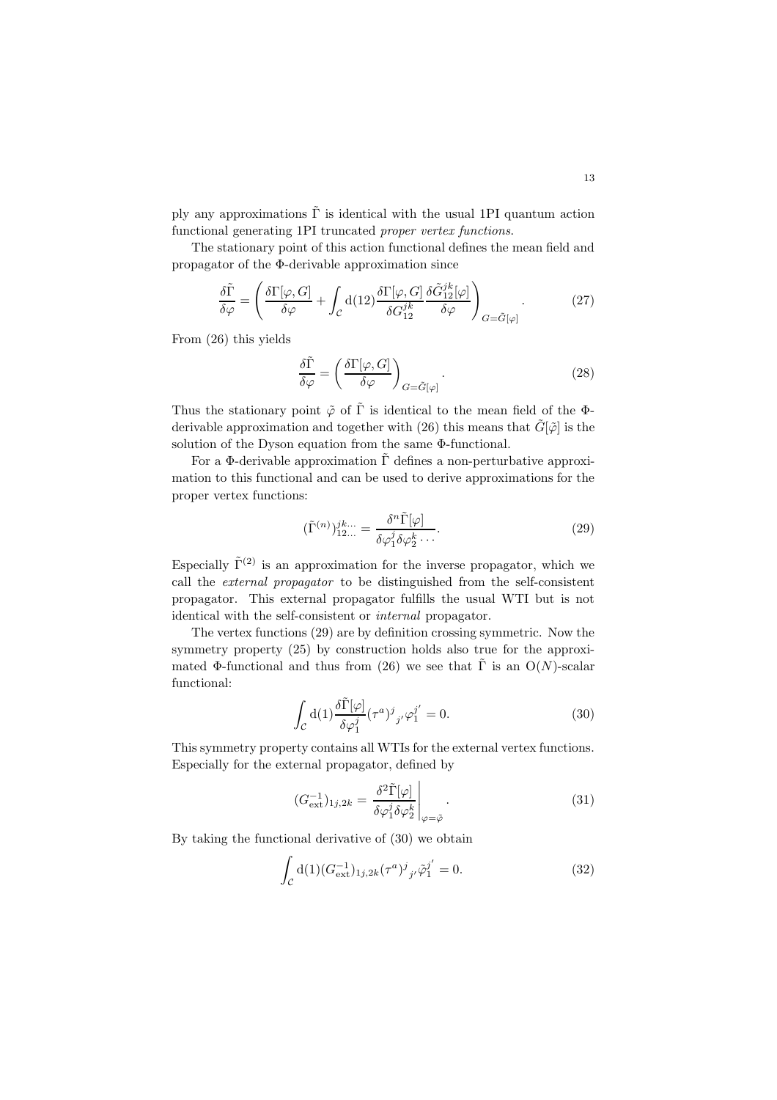ply any approximations  $\tilde{\Gamma}$  is identical with the usual 1PI quantum action functional generating 1PI truncated proper vertex functions.

The stationary point of this action functional defines the mean field and propagator of the Φ-derivable approximation since

$$
\frac{\delta \tilde{\Gamma}}{\delta \varphi} = \left( \frac{\delta \Gamma[\varphi, G]}{\delta \varphi} + \int_{\mathcal{C}} d(12) \frac{\delta \Gamma[\varphi, G]}{\delta G_{12}^{jk}} \frac{\delta \tilde{G}_{12}^{jk}[\varphi]}{\delta \varphi} \right)_{G = \tilde{G}[\varphi]}.
$$
(27)

From (26) this yields

$$
\frac{\delta \tilde{\Gamma}}{\delta \varphi} = \left( \frac{\delta \Gamma[\varphi, G]}{\delta \varphi} \right)_{G = \tilde{G}[\varphi]}.
$$
\n(28)

Thus the stationary point  $\tilde{\varphi}$  of  $\tilde{\Gamma}$  is identical to the mean field of the  $\Phi$ derivable approximation and together with (26) this means that  $\tilde{G}[\tilde{\varphi}]$  is the solution of the Dyson equation from the same Φ-functional.

For a Φ-derivable approximation  $\tilde{\Gamma}$  defines a non-perturbative approximation to this functional and can be used to derive approximations for the proper vertex functions:

$$
(\tilde{\Gamma}^{(n)})_{12...}^{jk...} = \frac{\delta^n \tilde{\Gamma}[\varphi]}{\delta \varphi_1^j \delta \varphi_2^k \cdots}.
$$
\n(29)

Especially  $\tilde{\Gamma}^{(2)}$  is an approximation for the inverse propagator, which we call the external propagator to be distinguished from the self-consistent propagator. This external propagator fulfills the usual WTI but is not identical with the self-consistent or internal propagator.

The vertex functions (29) are by definition crossing symmetric. Now the symmetry property (25) by construction holds also true for the approximated Φ-functional and thus from (26) we see that  $\tilde{\Gamma}$  is an  $O(N)$ -scalar functional:

$$
\int_{\mathcal{C}} d(1) \frac{\delta \tilde{\Gamma}[\varphi]}{\delta \varphi_1^j} (\tau^a)^j_{\ j'} \varphi_1^{j'} = 0.
$$
\n(30)

This symmetry property contains all WTIs for the external vertex functions. Especially for the external propagator, defined by

$$
(G_{\text{ext}}^{-1})_{1j,2k} = \left. \frac{\delta^2 \tilde{\Gamma}[\varphi]}{\delta \varphi_1^j \delta \varphi_2^k} \right|_{\varphi = \tilde{\varphi}}.
$$
\n(31)

By taking the functional derivative of (30) we obtain

$$
\int_{\mathcal{C}} d(1) (G_{\text{ext}}^{-1})_{1j,2k} (\tau^a)^j_{j'} \tilde{\varphi}_1^{j'} = 0.
$$
 (32)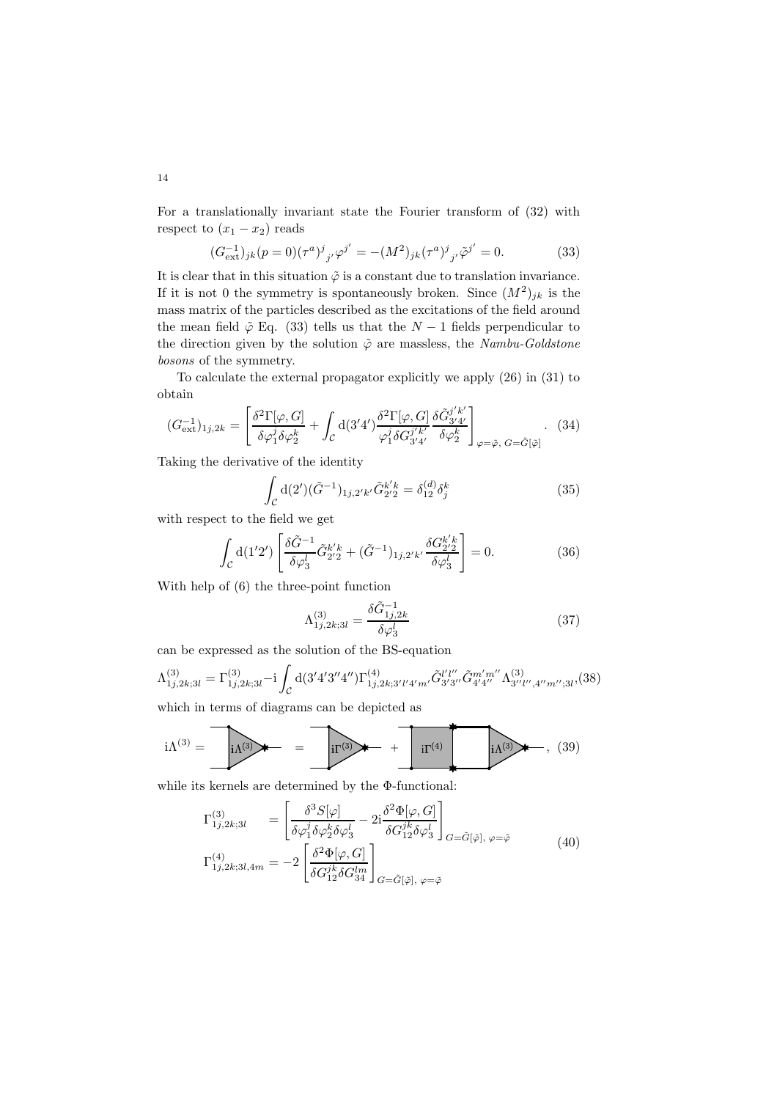For a translationally invariant state the Fourier transform of (32) with respect to  $(x_1 - x_2)$  reads

$$
(G_{\text{ext}}^{-1})_{jk}(p=0)(\tau^a)^j_{\ j'}\varphi^{j'} = -(M^2)_{jk}(\tau^a)^j_{\ j'}\tilde\varphi^{j'} = 0. \tag{33}
$$

It is clear that in this situation  $\tilde{\varphi}$  is a constant due to translation invariance. If it is not 0 the symmetry is spontaneously broken. Since  $(M^2)_{jk}$  is the mass matrix of the particles described as the excitations of the field around the mean field  $\tilde{\varphi}$  Eq. (33) tells us that the  $N-1$  fields perpendicular to the direction given by the solution  $\tilde{\varphi}$  are massless, the Nambu-Goldstone bosons of the symmetry.

To calculate the external propagator explicitly we apply (26) in (31) to obtain

$$
(G_{\text{ext}}^{-1})_{1j,2k} = \left[ \frac{\delta^2 \Gamma[\varphi, G]}{\delta \varphi_1^j \delta \varphi_2^k} + \int_C d(3'4') \frac{\delta^2 \Gamma[\varphi, G]}{\varphi_1^j \delta G_{3'4'}^{j'k'}} \frac{\delta \tilde{G}_{3'4'}}{\delta \varphi_2^k} \right]_{\varphi = \tilde{\varphi}, G = \tilde{G}[\tilde{\varphi}]}.
$$
 (34)

Taking the derivative of the identity

$$
\int_{\mathcal{C}} d(2') (\tilde{G}^{-1})_{1j,2'k'} \tilde{G}_{2'2}^{k'k} = \delta_{12}^{(d)} \delta_j^k
$$
\n(35)

with respect to the field we get

$$
\int_{\mathcal{C}} d(1'2') \left[ \frac{\delta \tilde{G}^{-1}}{\delta \varphi_3^l} \tilde{G}_{2'2}^{k'k} + (\tilde{G}^{-1})_{1j,2'k'} \frac{\delta G_{2'2}^{k'k}}{\delta \varphi_3^l} \right] = 0. \tag{36}
$$

With help of (6) the three-point function

$$
\Lambda_{1j,2k;3l}^{(3)} = \frac{\delta \tilde{G}_{1j,2k}^{-1}}{\delta \varphi_3^l} \tag{37}
$$

can be expressed as the solution of the BS-equation

$$
\Lambda_{1j,2k;3l}^{(3)} = \Gamma_{1j,2k;3l}^{(3)} - i \int_{\mathcal{C}} d(3'4'3''4'') \Gamma_{1j,2k;3'l'4'm'}^{(4)} \tilde{G}_{3'3''}^{l'l''} \tilde{G}_{4'4''}^{m'm''} \Lambda_{3''l'',4''m'';3l}^{(3)},
$$

which in terms of diagrams can be depicted as

$$
i\Lambda^{(3)} = \underbrace{\qquad \qquad}_{i\Lambda^{(3)}} \qquad \qquad \qquad}_{i\Gamma^{(3)}} \qquad \qquad \downarrow \qquad \qquad \underbrace{\qquad \qquad}_{i\Gamma^{(4)}} \qquad \qquad}_{i\Lambda^{(3)}} \qquad \qquad \downarrow \qquad \qquad (39)
$$

while its kernels are determined by the Φ-functional:

$$
\Gamma_{1j,2k;3l}^{(3)} = \left[ \frac{\delta^3 S[\varphi]}{\delta \varphi_1^i \delta \varphi_2^k \delta \varphi_3^l} - 2i \frac{\delta^2 \Phi[\varphi, G]}{\delta G_{12}^{ik} \delta \varphi_3^l} \right]_{G = \tilde{G}[\tilde{\varphi}], \varphi = \tilde{\varphi}}
$$
\n
$$
\Gamma_{1j,2k;3l,4m}^{(4)} = -2 \left[ \frac{\delta^2 \Phi[\varphi, G]}{\delta G_{12}^{ik} \delta G_{34}^{lm}} \right]_{G = \tilde{G}[\tilde{\varphi}], \varphi = \tilde{\varphi}}
$$
\n(40)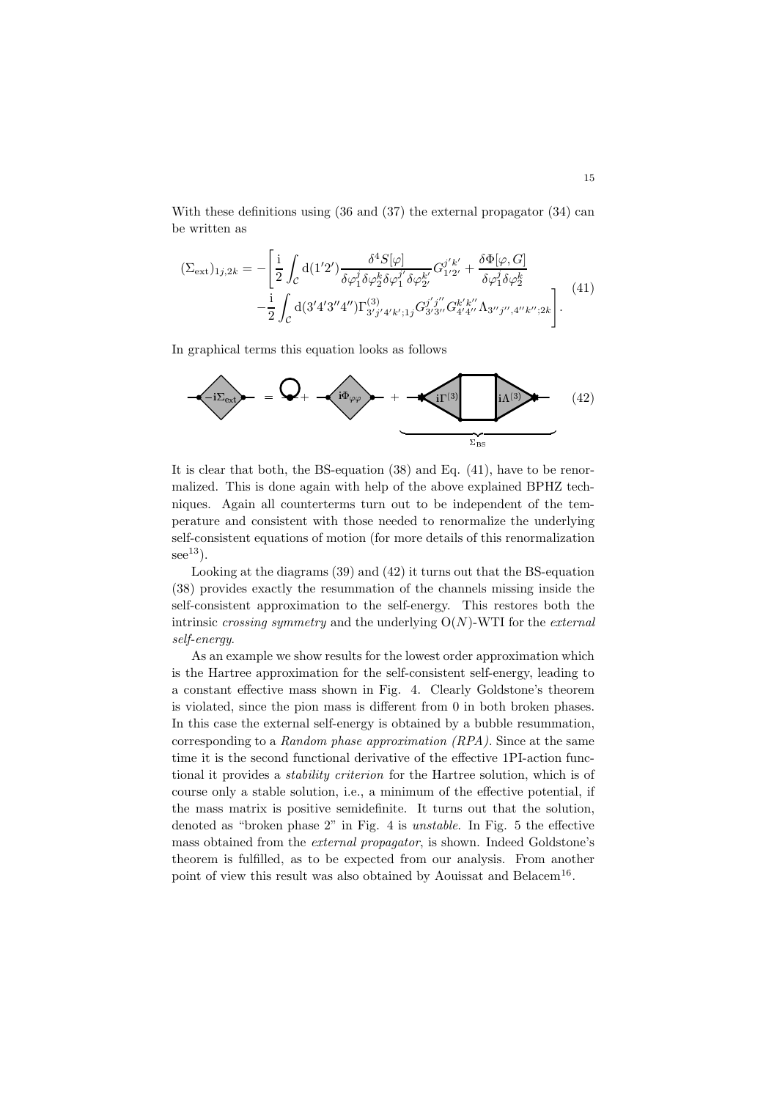With these definitions using (36 and (37) the external propagator (34) can be written as

$$
(\Sigma_{\text{ext}})_{1j,2k} = -\left[\frac{\mathrm{i}}{2} \int_{\mathcal{C}} d(1'2') \frac{\delta^4 S[\varphi]}{\delta \varphi_1^j \delta \varphi_2^k \delta \varphi_1^{j'} \delta \varphi_2^{k'}} G_{1'2'}^{j'k'} + \frac{\delta \Phi[\varphi, G]}{\delta \varphi_1^j \delta \varphi_2^k} -\frac{\mathrm{i}}{2} \int_{\mathcal{C}} d(3'4'3''4'') \Gamma_{3'j'4'k';1j}^{(3)} G_{3'3''}^{j'j''} G_{4'4''}^{k'k''} \Lambda_{3''j'',4''k'';2k}\right].
$$
\n(41)

In graphical terms this equation looks as follows



It is clear that both, the BS-equation (38) and Eq. (41), have to be renormalized. This is done again with help of the above explained BPHZ techniques. Again all counterterms turn out to be independent of the temperature and consistent with those needed to renormalize the underlying self-consistent equations of motion (for more details of this renormalization  $see<sup>13</sup>$ ).

Looking at the diagrams (39) and (42) it turns out that the BS-equation (38) provides exactly the resummation of the channels missing inside the self-consistent approximation to the self-energy. This restores both the intrinsic crossing symmetry and the underlying  $O(N)$ -WTI for the external self-energy.

As an example we show results for the lowest order approximation which is the Hartree approximation for the self-consistent self-energy, leading to a constant effective mass shown in Fig. 4. Clearly Goldstone's theorem is violated, since the pion mass is different from 0 in both broken phases. In this case the external self-energy is obtained by a bubble resummation, corresponding to a Random phase approximation (RPA). Since at the same time it is the second functional derivative of the effective 1PI-action functional it provides a stability criterion for the Hartree solution, which is of course only a stable solution, i.e., a minimum of the effective potential, if the mass matrix is positive semidefinite. It turns out that the solution, denoted as "broken phase 2" in Fig. 4 is unstable. In Fig. 5 the effective mass obtained from the external propagator, is shown. Indeed Goldstone's theorem is fulfilled, as to be expected from our analysis. From another point of view this result was also obtained by Aouissat and Belacem<sup>16</sup>.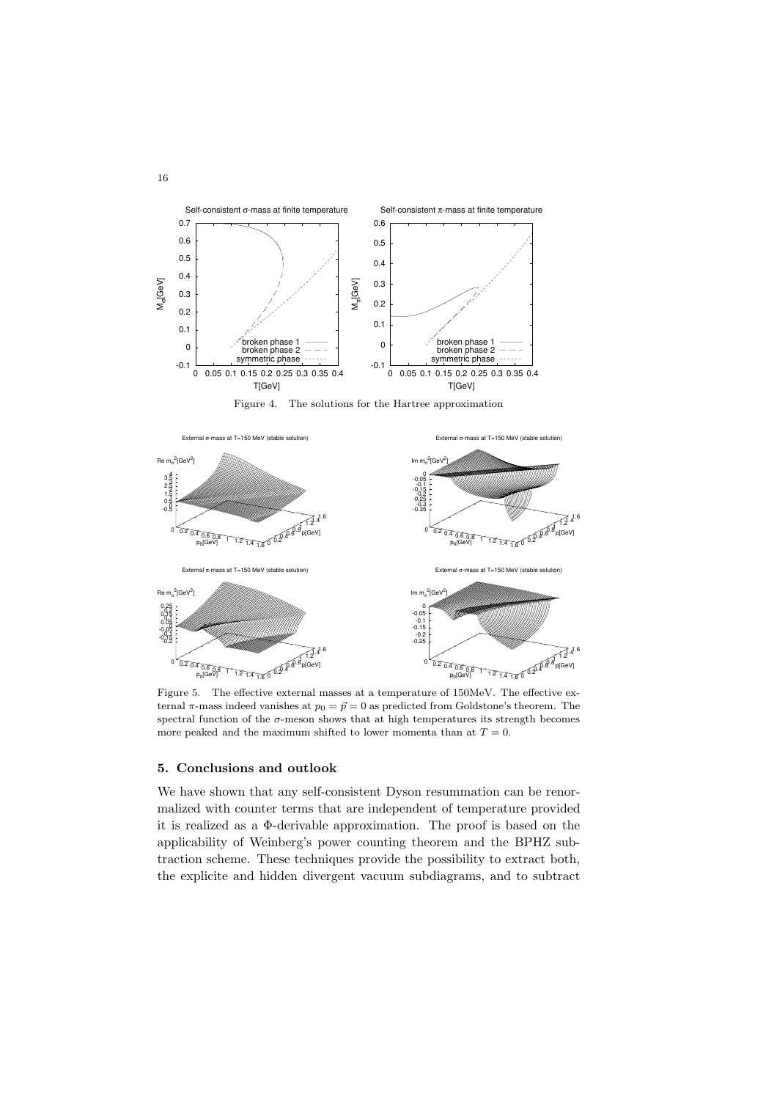

Figure 4. The solutions for the Hartree approximation



Figure 5. The effective external masses at a temperature of 150MeV. The effective external  $\pi$ -mass indeed vanishes at  $p_0 = \vec{p} = 0$  as predicted from Goldstone's theorem. The spectral function of the  $\sigma$ -meson shows that at high temperatures its strength becomes more peaked and the maximum shifted to lower momenta than at  $T = 0$ .

### 5. Conclusions and outlook

We have shown that any self-consistent Dyson resummation can be renormalized with counter terms that are independent of temperature provided it is realized as a Φ-derivable approximation. The proof is based on the applicability of Weinberg's power counting theorem and the BPHZ subtraction scheme. These techniques provide the possibility to extract both, the explicite and hidden divergent vacuum subdiagrams, and to subtract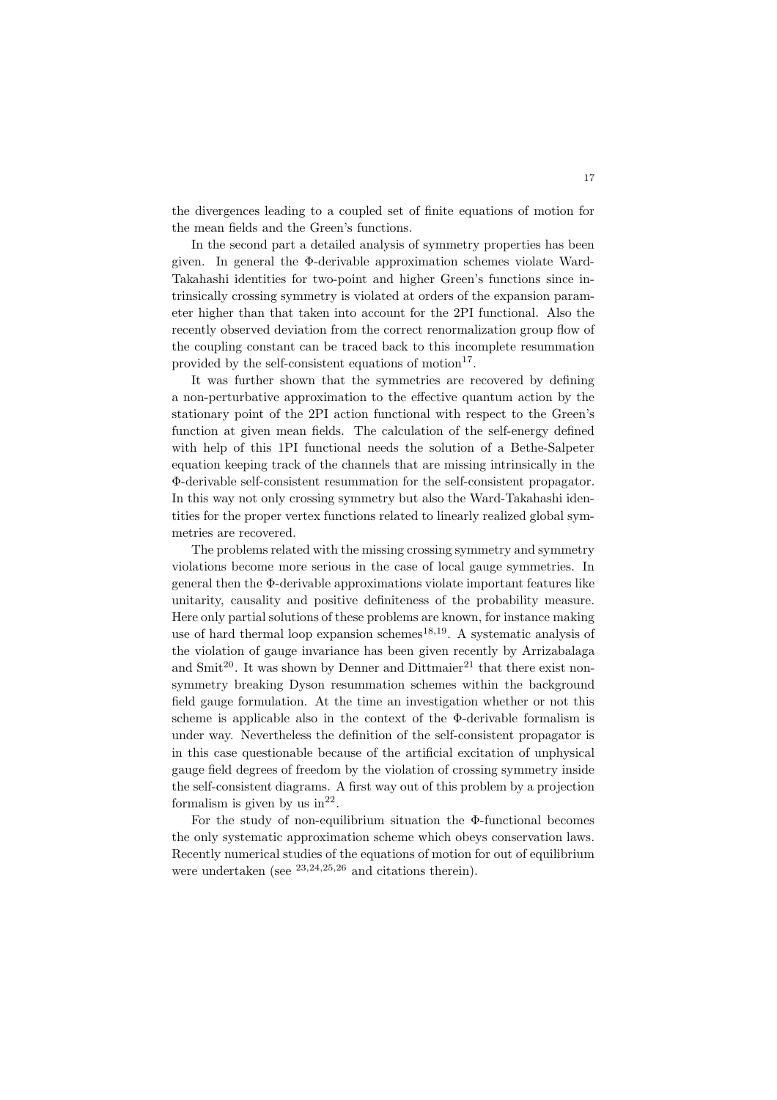the divergences leading to a coupled set of finite equations of motion for the mean fields and the Green's functions.

In the second part a detailed analysis of symmetry properties has been given. In general the Φ-derivable approximation schemes violate Ward-Takahashi identities for two-point and higher Green's functions since intrinsically crossing symmetry is violated at orders of the expansion parameter higher than that taken into account for the 2PI functional. Also the recently observed deviation from the correct renormalization group flow of the coupling constant can be traced back to this incomplete resummation provided by the self-consistent equations of motion<sup>17</sup>.

It was further shown that the symmetries are recovered by defining a non-perturbative approximation to the effective quantum action by the stationary point of the 2PI action functional with respect to the Green's function at given mean fields. The calculation of the self-energy defined with help of this 1PI functional needs the solution of a Bethe-Salpeter equation keeping track of the channels that are missing intrinsically in the Φ-derivable self-consistent resummation for the self-consistent propagator. In this way not only crossing symmetry but also the Ward-Takahashi identities for the proper vertex functions related to linearly realized global symmetries are recovered.

The problems related with the missing crossing symmetry and symmetry violations become more serious in the case of local gauge symmetries. In general then the Φ-derivable approximations violate important features like unitarity, causality and positive definiteness of the probability measure. Here only partial solutions of these problems are known, for instance making use of hard thermal loop expansion schemes<sup>18,19</sup>. A systematic analysis of the violation of gauge invariance has been given recently by Arrizabalaga and Smit<sup>20</sup>. It was shown by Denner and Dittmaier<sup>21</sup> that there exist nonsymmetry breaking Dyson resummation schemes within the background field gauge formulation. At the time an investigation whether or not this scheme is applicable also in the context of the Φ-derivable formalism is under way. Nevertheless the definition of the self-consistent propagator is in this case questionable because of the artificial excitation of unphysical gauge field degrees of freedom by the violation of crossing symmetry inside the self-consistent diagrams. A first way out of this problem by a projection formalism is given by us  $in^{22}$ .

For the study of non-equilibrium situation the Φ-functional becomes the only systematic approximation scheme which obeys conservation laws. Recently numerical studies of the equations of motion for out of equilibrium were undertaken (see  $23,24,25,26$  and citations therein).